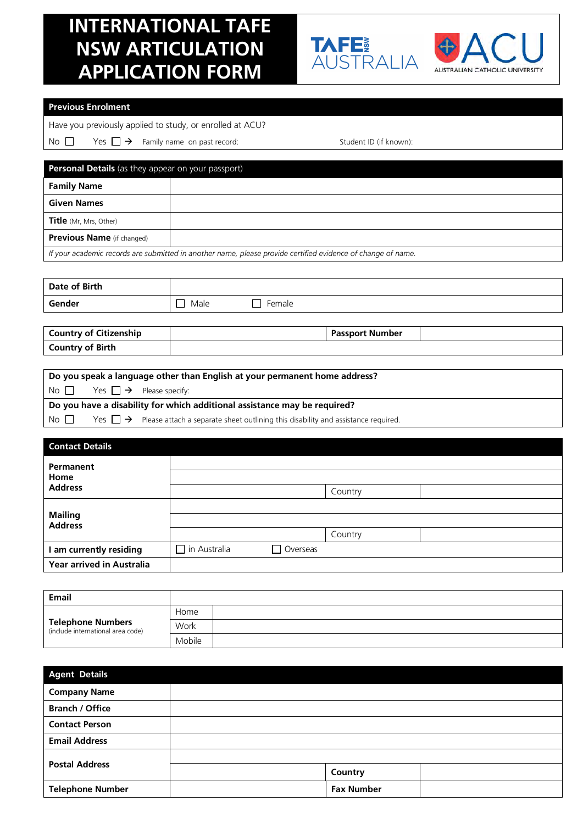# **INTERNATIONAL TAFE NSW ARTICULATION APPLICATION FORM**





#### **Previous Enrolment**

| No $\Box$ |  |  |  |  | Yes $\Box \rightarrow$ Family name on past record: |
|-----------|--|--|--|--|----------------------------------------------------|
|-----------|--|--|--|--|----------------------------------------------------|

Student ID (if known):

| <b>Personal Details</b> (as they appear on your passport)                                                    |  |  |  |  |
|--------------------------------------------------------------------------------------------------------------|--|--|--|--|
| <b>Family Name</b>                                                                                           |  |  |  |  |
| <b>Given Names</b>                                                                                           |  |  |  |  |
| <b>Title</b> (Mr, Mrs, Other)                                                                                |  |  |  |  |
| <b>Previous Name</b> (if changed)                                                                            |  |  |  |  |
| If your academic records are submitted in another name, please provide certified evidence of change of name. |  |  |  |  |

| Date of Birth |      |        |
|---------------|------|--------|
| Gender        | Male | Female |
|               |      |        |

| <b>Country of Citizenship</b> | <b>Passport Number</b> |  |
|-------------------------------|------------------------|--|
| <b>Country of Birth</b>       |                        |  |

| Do you speak a language other than English at your permanent home address? |  |                                                  |  |  |  |
|----------------------------------------------------------------------------|--|--------------------------------------------------|--|--|--|
|                                                                            |  | No $\Box$ Yes $\Box \rightarrow$ Please specify: |  |  |  |
| Do you have a disability for which additional assistance may be required?  |  |                                                  |  |  |  |

No  $\Box$  Yes  $\Box \ni$  Please attach a separate sheet outlining this disability and assistance required.

| <b>Contact Details</b>           |                     |                 |         |  |  |
|----------------------------------|---------------------|-----------------|---------|--|--|
| Permanent<br>Home                |                     |                 |         |  |  |
| <b>Address</b>                   |                     |                 | Country |  |  |
|                                  |                     |                 |         |  |  |
| <b>Mailing</b><br><b>Address</b> |                     |                 |         |  |  |
|                                  |                     |                 | Country |  |  |
| I am currently residing          | $\Box$ in Australia | $\Box$ Overseas |         |  |  |
| Year arrived in Australia        |                     |                 |         |  |  |

| Email                                                         |        |  |
|---------------------------------------------------------------|--------|--|
|                                                               | Home   |  |
| <b>Telephone Numbers</b><br>(include international area code) | Work   |  |
|                                                               | Mobile |  |

| <b>Agent Details</b>    |                   |  |
|-------------------------|-------------------|--|
| <b>Company Name</b>     |                   |  |
| <b>Branch / Office</b>  |                   |  |
| <b>Contact Person</b>   |                   |  |
| <b>Email Address</b>    |                   |  |
| <b>Postal Address</b>   |                   |  |
|                         | Country           |  |
| <b>Telephone Number</b> | <b>Fax Number</b> |  |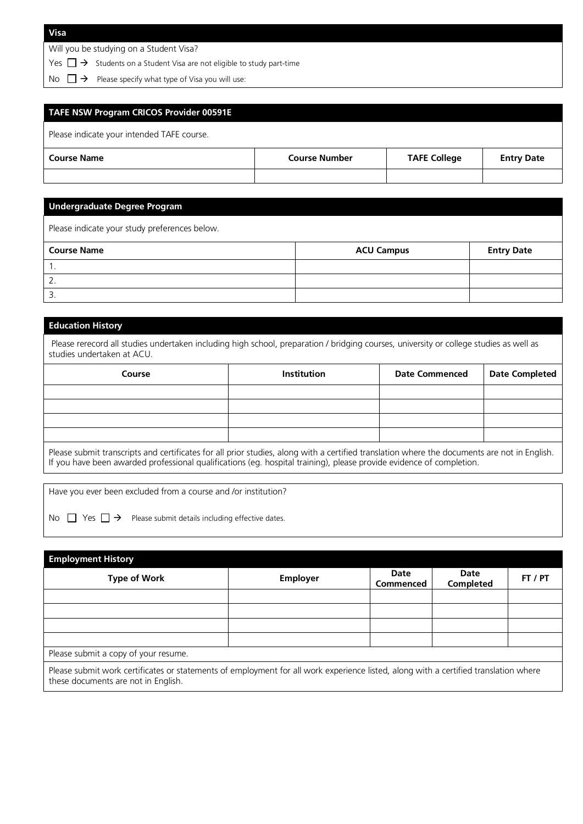Will you be studying on a Student Visa?

Yes  $\Box \rightarrow$  Students on a Student Visa are not eligible to study part-time

No  $\Box \rightarrow$  Please specify what type of Visa you will use:

| TAFE NSW Program CRICOS Provider 00591E                                                |  |  |  |  |  |  |
|----------------------------------------------------------------------------------------|--|--|--|--|--|--|
| Please indicate your intended TAFE course.                                             |  |  |  |  |  |  |
| <b>Course Number</b><br><b>Course Name</b><br><b>TAFE College</b><br><b>Entry Date</b> |  |  |  |  |  |  |
|                                                                                        |  |  |  |  |  |  |
|                                                                                        |  |  |  |  |  |  |

### **Undergraduate Degree Program**

Please indicate your study preferences below.

| <b>Course Name</b> | <b>ACU Campus</b> | <b>Entry Date</b> |
|--------------------|-------------------|-------------------|
|                    |                   |                   |
|                    |                   |                   |
| <u>.</u>           |                   |                   |

#### **Education History**

Please rerecord all studies undertaken including high school, preparation / bridging courses, university or college studies as well as studies undertaken at ACU.

| Course                                                                                                                                      | <b>Institution</b> | <b>Date Commenced</b> | <b>Date Completed</b> |  |  |
|---------------------------------------------------------------------------------------------------------------------------------------------|--------------------|-----------------------|-----------------------|--|--|
|                                                                                                                                             |                    |                       |                       |  |  |
|                                                                                                                                             |                    |                       |                       |  |  |
|                                                                                                                                             |                    |                       |                       |  |  |
|                                                                                                                                             |                    |                       |                       |  |  |
| Plasse submit transcripts and cortificates for all prior studies, along with a cortified translation where the documents are not in English |                    |                       |                       |  |  |

Please submit transcripts and certificates for all prior studies, along with a certified translation where the documents are not in English. If you have been awarded professional qualifications (eg. hospital training), please provide evidence of completion.

Have you ever been excluded from a course and /or institution?

No  $\Box$  Yes  $\Box \rightarrow$  Please submit details including effective dates.

| <b>Employment History</b>            |                 |                   |                   |         |
|--------------------------------------|-----------------|-------------------|-------------------|---------|
| <b>Type of Work</b>                  | <b>Employer</b> | Date<br>Commenced | Date<br>Completed | FT / PT |
|                                      |                 |                   |                   |         |
|                                      |                 |                   |                   |         |
|                                      |                 |                   |                   |         |
|                                      |                 |                   |                   |         |
| Please submit a copy of your resume. |                 |                   |                   |         |

Please submit work certificates or statements of employment for all work experience listed, along with a certified translation where these documents are not in English.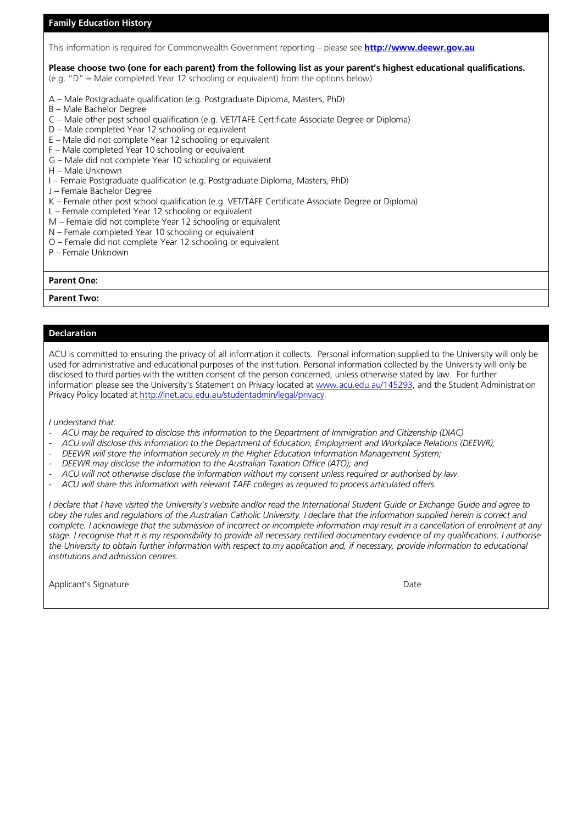#### **Family Education History**

This information is required for Commonwealth Government reporting – please see **[http://www.deewr.gov.au](http://www.deewr.gov.au/)**

#### **Please choose two (one for each parent) from the following list as your parent's highest educational qualifications.**

(e.g. "D" = Male completed Year 12 schooling or equivalent) from the options below)

- A Male Postgraduate qualification (e.g. Postgraduate Diploma, Masters, PhD)
- B Male Bachelor Degree
- C Male other post school qualification (e.g. VET/TAFE Certificate Associate Degree or Diploma)
- D Male completed Year 12 schooling or equivalent
- E Male did not complete Year 12 schooling or equivalent
- F Male completed Year 10 schooling or equivalent
- G Male did not complete Year 10 schooling or equivalent
- H Male Unknown
- I Female Postgraduate qualification (e.g. Postgraduate Diploma, Masters, PhD)
- J Female Bachelor Degree
- K Female other post school qualification (e.g. VET/TAFE Certificate Associate Degree or Diploma)
- L Female completed Year 12 schooling or equivalent
- M Female did not complete Year 12 schooling or equivalent
- N Female completed Year 10 schooling or equivalent
- O Female did not complete Year 12 schooling or equivalent
- P Female Unknown

#### **Parent One:**

**Parent Two:**

#### **Declaration**

ACU is committed to ensuring the privacy of all information it collects. Personal information supplied to the University will only be used for administrative and educational purposes of the institution. Personal information collected by the University will only be disclosed to third parties with the written consent of the person concerned, unless otherwise stated by law. For further information please see the University's Statement on Privacy located at [www.acu.edu.au/145293,](http://www.acu.edu.au/145293) and the Student Administration Privacy Policy located at [http://inet.acu.edu.au/studentadmin/legal/privacy.](http://inet.acu.edu.au/studentadmin/legal/privacy)

*I understand that:*

- *ACU may be required to disclose this information to the Department of Immigration and Citizenship (DIAC)*
- *ACU will disclose this information to the Department of Education, Employment and Workplace Relations (DEEWR);*
- *DEEWR will store the information securely in the Higher Education Information Management System;*
- *DEEWR may disclose the information to the Australian Taxation Office (ATO); and*
- *ACU will not otherwise disclose the information without my consent unless required or authorised by law.*
- *ACU will share this information with relevant TAFE colleges as required to process articulated offers.*

*I declare that I have visited the University's website and/or read the International Student Guide or Exchange Guide and agree to obey the rules and regulations of the Australian Catholic University. I declare that the information supplied herein is correct and complete. I acknowlege that the submission of incorrect or incomplete information may result in a cancellation of enrolment at any stage. I recognise that it is my responsibility to provide all necessary certified documentary evidence of my qualifications. I authorise the University to obtain further information with respect to my application and, if necessary, provide information to educational institutions and admission centres.*

Applicant's Signature **Date**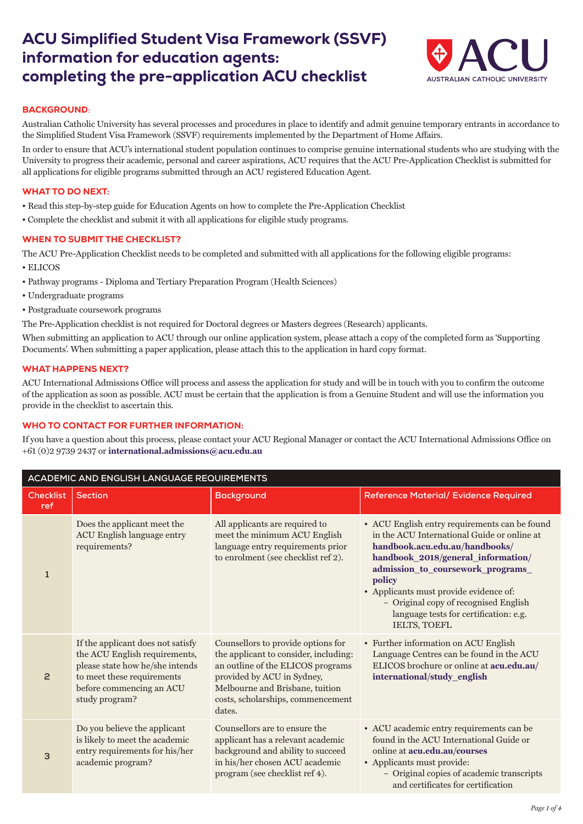# ACU Simplified Student Visa Framework (SSVF) information for education agents: completing the pre-application ACU checklist



#### BACKGROUND**:**

Australian Catholic University has several processes and procedures in place to identify and admit genuine temporary entrants in accordance to the Simplified Student Visa Framework (SSVF) requirements implemented by the Department of Home Affairs.

In order to ensure that ACU's international student population continues to comprise genuine international students who are studying with the University to progress their academic, personal and career aspirations, ACU requires that the ACU Pre-Application Checklist is submitted for all applications for eligible programs submitted through an ACU registered Education Agent.

#### WHAT TO DO NEXT:

- Read this step-by-step guide for Education Agents on how to complete the Pre-Application Checklist
- Complete the checklist and submit it with all applications for eligible study programs.

#### WHEN TO SUBMIT THE CHECKLIST?

The ACU Pre-Application Checklist needs to be completed and submitted with all applications for the following eligible programs:

- ELICOS
- Pathway programs Diploma and Tertiary Preparation Program (Health Sciences)
- Undergraduate programs
- Postgraduate coursework programs

The Pre-Application checklist is not required for Doctoral degrees or Masters degrees (Research) applicants.

When submitting an application to ACU through our online application system, please attach a copy of the completed form as 'Supporting Documents'. When submitting a paper application, please attach this to the application in hard copy format.

#### WHAT HAPPENS NEXT?

ACU International Admissions Office will process and assess the application for study and will be in touch with you to confirm the outcome of the application as soon as possible. ACU must be certain that the application is from a Genuine Student and will use the information you provide in the checklist to ascertain this.

### WHO TO CONTACT FOR FURTHER INFORMATION:

If you have a question about this process, please contact your ACU Regional Manager or contact the ACU International Admissions Office on +61 (0)2 9739 2437 or **international.admissions@acu.edu.au**

| ACADEMIC AND ENGLISH LANGUAGE REQUIREMENTS |                                                                                                                                                                                   |                                                                                                                                                                                                                                  |                                                                                                                                                                                                                                                                                                                                                                  |  |
|--------------------------------------------|-----------------------------------------------------------------------------------------------------------------------------------------------------------------------------------|----------------------------------------------------------------------------------------------------------------------------------------------------------------------------------------------------------------------------------|------------------------------------------------------------------------------------------------------------------------------------------------------------------------------------------------------------------------------------------------------------------------------------------------------------------------------------------------------------------|--|
| <b>Checklist</b><br>ref                    | <b>Section</b>                                                                                                                                                                    | <b>Background</b>                                                                                                                                                                                                                | Reference Material/ Evidence Required                                                                                                                                                                                                                                                                                                                            |  |
| $\mathbf{1}$                               | Does the applicant meet the<br>ACU English language entry<br>requirements?                                                                                                        | All applicants are required to<br>meet the minimum ACU English<br>language entry requirements prior<br>to enrolment (see checklist ref 2).                                                                                       | • ACU English entry requirements can be found<br>in the ACU International Guide or online at<br>handbook.acu.edu.au/handbooks/<br>handbook_2018/general_information/<br>admission_to_coursework_programs_<br>policy<br>• Applicants must provide evidence of:<br>- Original copy of recognised English<br>language tests for certification: e.g.<br>IELTS, TOEFL |  |
| $\overline{c}$                             | If the applicant does not satisfy<br>the ACU English requirements,<br>please state how he/she intends<br>to meet these requirements<br>before commencing an ACU<br>study program? | Counsellors to provide options for<br>the applicant to consider, including:<br>an outline of the ELICOS programs<br>provided by ACU in Sydney,<br>Melbourne and Brisbane, tuition<br>costs, scholarships, commencement<br>dates. | • Further information on ACU English<br>Language Centres can be found in the ACU<br>ELICOS brochure or online at acu.edu.au/<br>international/study_english                                                                                                                                                                                                      |  |
| 3                                          | Do you believe the applicant<br>is likely to meet the academic<br>entry requirements for his/her<br>academic program?                                                             | Counsellors are to ensure the<br>applicant has a relevant academic<br>background and ability to succeed<br>in his/her chosen ACU academic<br>program (see checklist ref 4).                                                      | • ACU academic entry requirements can be<br>found in the ACU International Guide or<br>online at acu.edu.au/courses<br>• Applicants must provide:<br>- Original copies of academic transcripts<br>and certificates for certification                                                                                                                             |  |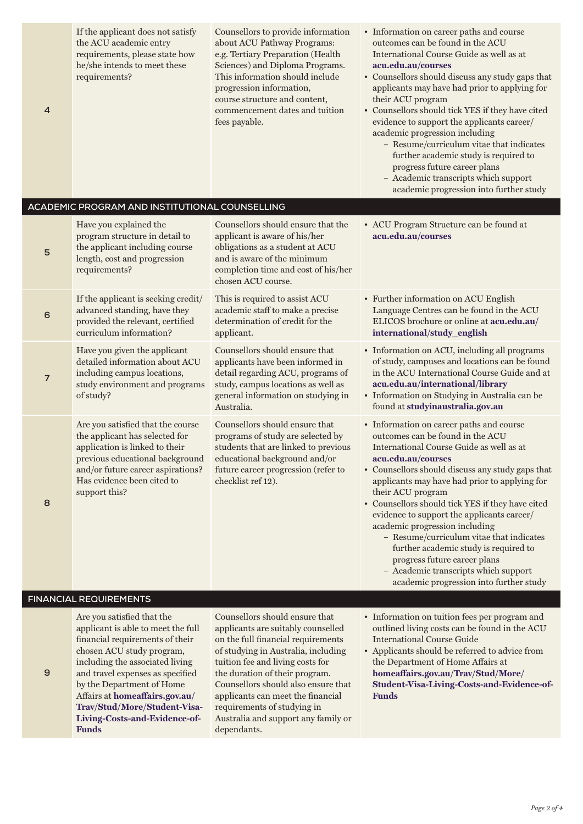| 4              | If the applicant does not satisfy<br>the ACU academic entry<br>requirements, please state how<br>he/she intends to meet these<br>requirements?                                                                                                                                                         | Counsellors to provide information<br>about ACU Pathway Programs:<br>e.g. Tertiary Preparation (Health<br>Sciences) and Diploma Programs.<br>This information should include<br>progression information,<br>course structure and content,<br>commencement dates and tuition<br>fees payable.                                       | • Information on career paths and course<br>outcomes can be found in the ACU<br>International Course Guide as well as at<br>acu.edu.au/courses<br>• Counsellors should discuss any study gaps that<br>applicants may have had prior to applying for<br>their ACU program<br>• Counsellors should tick YES if they have cited<br>evidence to support the applicants career/<br>academic progression including<br>- Resume/curriculum vitae that indicates<br>further academic study is required to<br>progress future career plans<br>- Academic transcripts which support<br>academic progression into further study |
|----------------|--------------------------------------------------------------------------------------------------------------------------------------------------------------------------------------------------------------------------------------------------------------------------------------------------------|------------------------------------------------------------------------------------------------------------------------------------------------------------------------------------------------------------------------------------------------------------------------------------------------------------------------------------|----------------------------------------------------------------------------------------------------------------------------------------------------------------------------------------------------------------------------------------------------------------------------------------------------------------------------------------------------------------------------------------------------------------------------------------------------------------------------------------------------------------------------------------------------------------------------------------------------------------------|
|                | ACADEMIC PROGRAM AND INSTITUTIONAL COUNSELLING                                                                                                                                                                                                                                                         |                                                                                                                                                                                                                                                                                                                                    |                                                                                                                                                                                                                                                                                                                                                                                                                                                                                                                                                                                                                      |
| 5              | Have you explained the<br>program structure in detail to<br>the applicant including course<br>length, cost and progression<br>requirements?                                                                                                                                                            | Counsellors should ensure that the<br>applicant is aware of his/her<br>obligations as a student at ACU<br>and is aware of the minimum<br>completion time and cost of his/her<br>chosen ACU course.                                                                                                                                 | • ACU Program Structure can be found at<br>acu.edu.au/courses                                                                                                                                                                                                                                                                                                                                                                                                                                                                                                                                                        |
| 6              | If the applicant is seeking credit/<br>advanced standing, have they<br>provided the relevant, certified<br>curriculum information?                                                                                                                                                                     | This is required to assist ACU<br>academic staff to make a precise<br>determination of credit for the<br>applicant.                                                                                                                                                                                                                | • Further information on ACU English<br>Language Centres can be found in the ACU<br>ELICOS brochure or online at acu.edu.au/<br>international/study_english                                                                                                                                                                                                                                                                                                                                                                                                                                                          |
| $\overline{7}$ | Have you given the applicant<br>detailed information about ACU<br>including campus locations,<br>study environment and programs<br>of study?                                                                                                                                                           | Counsellors should ensure that<br>applicants have been informed in<br>detail regarding ACU, programs of<br>study, campus locations as well as<br>general information on studying in<br>Australia.                                                                                                                                  | • Information on ACU, including all programs<br>of study, campuses and locations can be found<br>in the ACU International Course Guide and at<br>acu.edu.au/international/library<br>• Information on Studying in Australia can be<br>found at studyinaustralia.gov.au                                                                                                                                                                                                                                                                                                                                               |
| 8              | Are you satisfied that the course<br>the applicant has selected for<br>application is linked to their<br>previous educational background<br>and/or future career aspirations?<br>Has evidence been cited to<br>support this?                                                                           | Counsellors should ensure that<br>programs of study are selected by<br>students that are linked to previous<br>educational background and/or<br>future career progression (refer to<br>checklist ref 12).                                                                                                                          | • Information on career paths and course<br>outcomes can be found in the ACU<br>International Course Guide as well as at<br>acu.edu.au/courses<br>• Counsellors should discuss any study gaps that<br>applicants may have had prior to applying for<br>their ACU program<br>• Counsellors should tick YES if they have cited<br>evidence to support the applicants career/<br>academic progression including<br>- Resume/curriculum vitae that indicates<br>further academic study is required to<br>progress future career plans<br>- Academic transcripts which support<br>academic progression into further study |
|                | <b>FINANCIAL REQUIREMENTS</b>                                                                                                                                                                                                                                                                          |                                                                                                                                                                                                                                                                                                                                    |                                                                                                                                                                                                                                                                                                                                                                                                                                                                                                                                                                                                                      |
| 9              | Are you satisfied that the<br>applicant is able to meet the full<br>financial requirements of their<br>chosen ACU study program,<br>including the associated living<br>and travel expenses as specified<br>by the Department of Home<br>Affairs at homeaffairs.gov.au/<br>Trav/Stud/More/Student-Visa- | Counsellors should ensure that<br>applicants are suitably counselled<br>on the full financial requirements<br>of studying in Australia, including<br>tuition fee and living costs for<br>the duration of their program.<br>Counsellors should also ensure that<br>applicants can meet the financial<br>requirements of studying in | • Information on tuition fees per program and<br>outlined living costs can be found in the ACU<br><b>International Course Guide</b><br>• Applicants should be referred to advice from<br>the Department of Home Affairs at<br>homeaffairs.gov.au/Trav/Stud/More/<br>Student-Visa-Living-Costs-and-Evidence-of-<br><b>Funds</b>                                                                                                                                                                                                                                                                                       |

Australia and support any family or

dependants.

**Living-Costs-and-Evidence-of-**

**Funds**

*Page 2 of 4*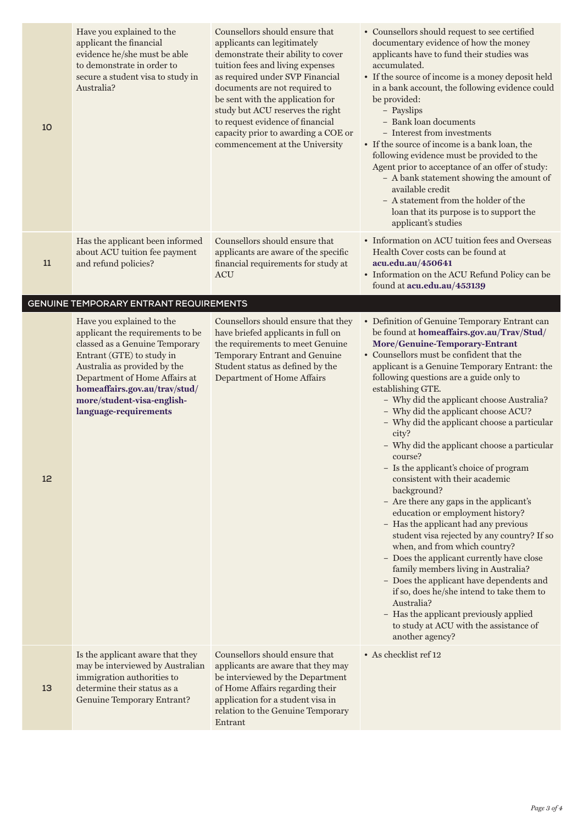| 10                | Have you explained to the<br>applicant the financial<br>evidence he/she must be able<br>to demonstrate in order to<br>secure a student visa to study in<br>Australia?                                                                                                                 | Counsellors should ensure that<br>applicants can legitimately<br>demonstrate their ability to cover<br>tuition fees and living expenses<br>as required under SVP Financial<br>documents are not required to<br>be sent with the application for<br>study but ACU reserves the right<br>to request evidence of financial<br>capacity prior to awarding a COE or<br>commencement at the University | • Counsellors should request to see certified<br>documentary evidence of how the money<br>applicants have to fund their studies was<br>accumulated.<br>• If the source of income is a money deposit held<br>in a bank account, the following evidence could<br>be provided:<br>- Payslips<br>- Bank loan documents<br>- Interest from investments<br>• If the source of income is a bank loan, the<br>following evidence must be provided to the<br>Agent prior to acceptance of an offer of study:<br>- A bank statement showing the amount of<br>available credit<br>- A statement from the holder of the<br>loan that its purpose is to support the<br>applicant's studies                                                                                                                                                                                                                                                                                                                                                                                                                       |
|-------------------|---------------------------------------------------------------------------------------------------------------------------------------------------------------------------------------------------------------------------------------------------------------------------------------|--------------------------------------------------------------------------------------------------------------------------------------------------------------------------------------------------------------------------------------------------------------------------------------------------------------------------------------------------------------------------------------------------|-----------------------------------------------------------------------------------------------------------------------------------------------------------------------------------------------------------------------------------------------------------------------------------------------------------------------------------------------------------------------------------------------------------------------------------------------------------------------------------------------------------------------------------------------------------------------------------------------------------------------------------------------------------------------------------------------------------------------------------------------------------------------------------------------------------------------------------------------------------------------------------------------------------------------------------------------------------------------------------------------------------------------------------------------------------------------------------------------------|
| 11                | Has the applicant been informed<br>about ACU tuition fee payment<br>and refund policies?                                                                                                                                                                                              | Counsellors should ensure that<br>applicants are aware of the specific<br>financial requirements for study at<br><b>ACU</b>                                                                                                                                                                                                                                                                      | • Information on ACU tuition fees and Overseas<br>Health Cover costs can be found at<br>acu.edu.au/450641<br>• Information on the ACU Refund Policy can be<br>found at acu.edu.au/453139                                                                                                                                                                                                                                                                                                                                                                                                                                                                                                                                                                                                                                                                                                                                                                                                                                                                                                            |
|                   | <b>GENUINE TEMPORARY ENTRANT REQUIREMENTS</b>                                                                                                                                                                                                                                         |                                                                                                                                                                                                                                                                                                                                                                                                  |                                                                                                                                                                                                                                                                                                                                                                                                                                                                                                                                                                                                                                                                                                                                                                                                                                                                                                                                                                                                                                                                                                     |
| $12 \overline{ }$ | Have you explained to the<br>applicant the requirements to be<br>classed as a Genuine Temporary<br>Entrant (GTE) to study in<br>Australia as provided by the<br>Department of Home Affairs at<br>homeaffairs.gov.au/trav/stud/<br>more/student-visa-english-<br>language-requirements | Counsellors should ensure that they<br>have briefed applicants in full on<br>the requirements to meet Genuine<br>Temporary Entrant and Genuine<br>Student status as defined by the<br>Department of Home Affairs                                                                                                                                                                                 | • Definition of Genuine Temporary Entrant can<br>be found at homeaffairs.gov.au/Trav/Stud/<br>More/Genuine-Temporary-Entrant<br>• Counsellors must be confident that the<br>applicant is a Genuine Temporary Entrant: the<br>following questions are a guide only to<br>establishing GTE.<br>- Why did the applicant choose Australia?<br>- Why did the applicant choose ACU?<br>- Why did the applicant choose a particular<br>city?<br>- Why did the applicant choose a particular<br>course?<br>- Is the applicant's choice of program<br>consistent with their academic<br>background?<br>- Are there any gaps in the applicant's<br>education or employment history?<br>- Has the applicant had any previous<br>student visa rejected by any country? If so<br>when, and from which country?<br>- Does the applicant currently have close<br>family members living in Australia?<br>- Does the applicant have dependents and<br>if so, does he/she intend to take them to<br>Australia?<br>- Has the applicant previously applied<br>to study at ACU with the assistance of<br>another agency? |
| 13                | Is the applicant aware that they<br>may be interviewed by Australian<br>immigration authorities to<br>determine their status as a<br>Genuine Temporary Entrant?                                                                                                                       | Counsellors should ensure that<br>applicants are aware that they may<br>be interviewed by the Department<br>of Home Affairs regarding their<br>application for a student visa in<br>relation to the Genuine Temporary<br>Entrant                                                                                                                                                                 | • As checklist ref 12                                                                                                                                                                                                                                                                                                                                                                                                                                                                                                                                                                                                                                                                                                                                                                                                                                                                                                                                                                                                                                                                               |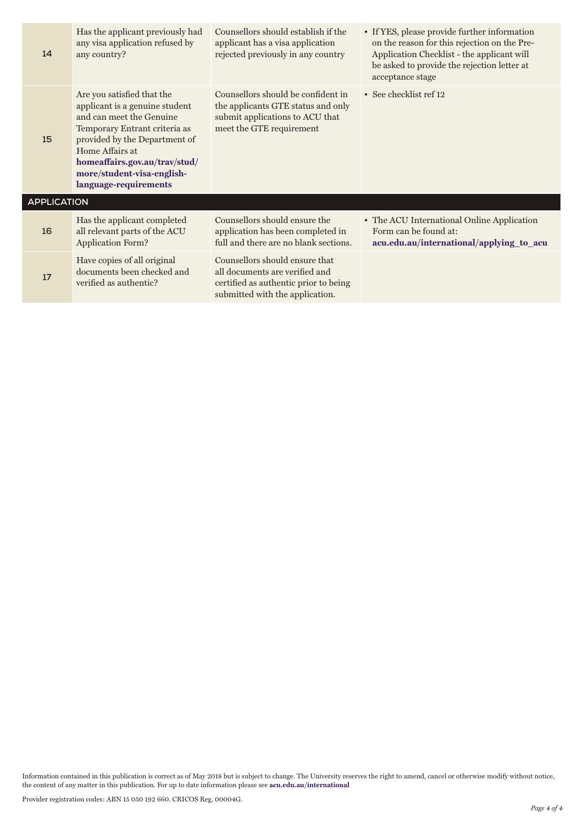| 14                 | Has the applicant previously had<br>any visa application refused by<br>any country?                                                                                                                                                                                   | Counsellors should establish if the<br>applicant has a visa application<br>rejected previously in any country                                | • If YES, please provide further information<br>on the reason for this rejection on the Pre-<br>Application Checklist - the applicant will<br>be asked to provide the rejection letter at<br>acceptance stage |
|--------------------|-----------------------------------------------------------------------------------------------------------------------------------------------------------------------------------------------------------------------------------------------------------------------|----------------------------------------------------------------------------------------------------------------------------------------------|---------------------------------------------------------------------------------------------------------------------------------------------------------------------------------------------------------------|
| 15                 | Are you satisfied that the<br>applicant is a genuine student<br>and can meet the Genuine<br>Temporary Entrant criteria as<br>provided by the Department of<br>Home Affairs at<br>homeaffairs.gov.au/trav/stud/<br>more/student-visa-english-<br>language-requirements | Counsellors should be confident in<br>the applicants GTE status and only<br>submit applications to ACU that<br>meet the GTE requirement      | • See checklist ref 12                                                                                                                                                                                        |
| <b>APPLICATION</b> |                                                                                                                                                                                                                                                                       |                                                                                                                                              |                                                                                                                                                                                                               |
| 16                 | Has the applicant completed<br>all relevant parts of the ACU<br><b>Application Form?</b>                                                                                                                                                                              | Counsellors should ensure the<br>application has been completed in<br>full and there are no blank sections.                                  | • The ACU International Online Application<br>Form can be found at:<br>acu.edu.au/international/applying_to_acu                                                                                               |
| 17                 | Have copies of all original<br>documents been checked and<br>verified as authentic?                                                                                                                                                                                   | Counsellors should ensure that<br>all documents are verified and<br>certified as authentic prior to being<br>submitted with the application. |                                                                                                                                                                                                               |

Information contained in this publication is correct as of May 2018 but is subject to change. The University reserves the right to amend, cancel or otherwise modify without notice, the content of any matter in this publication. For up to date information please see **[acu.edu.au/international](http://www.acu.edu.au/international)**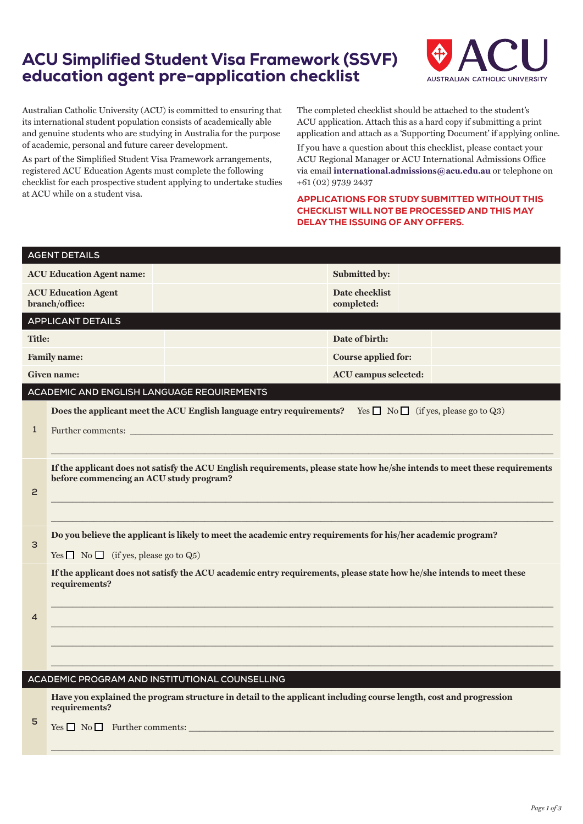# ACU Simplified Student Visa Framework (SSVF) education agent pre-application checklist



Australian Catholic University (ACU) is committed to ensuring that its international student population consists of academically able and genuine students who are studying in Australia for the purpose of academic, personal and future career development.

As part of the Simplified Student Visa Framework arrangements, registered ACU Education Agents must complete the following checklist for each prospective student applying to undertake studies at ACU while on a student visa.

The completed checklist should be attached to the student's ACU application. Attach this as a hard copy if submitting a print application and attach as a 'Supporting Document' if applying online.

If you have a question about this checklist, please contact your ACU Regional Manager or ACU International Admissions Office via email **international.admissions@acu.edu.au** or telephone on +61 (02) 9739 2437

#### APPLICATIONS FOR STUDY SUBMITTED WITHOUT THIS CHECKLIST WILL NOT BE PROCESSED AND THIS MAY DELAY THE ISSUING OF ANY OFFERS.

|               | <b>AGENT DETAILS</b>                                                                                                                                                  |                                                                                                                            |                              |  |
|---------------|-----------------------------------------------------------------------------------------------------------------------------------------------------------------------|----------------------------------------------------------------------------------------------------------------------------|------------------------------|--|
|               | <b>ACU Education Agent name:</b>                                                                                                                                      |                                                                                                                            | Submitted by:                |  |
|               | <b>ACU Education Agent</b><br>branch/office:                                                                                                                          |                                                                                                                            | Date checklist<br>completed: |  |
|               | <b>APPLICANT DETAILS</b>                                                                                                                                              |                                                                                                                            |                              |  |
| <b>Title:</b> |                                                                                                                                                                       |                                                                                                                            | Date of birth:               |  |
|               | <b>Family name:</b>                                                                                                                                                   |                                                                                                                            | Course applied for:          |  |
|               | <b>Given name:</b>                                                                                                                                                    |                                                                                                                            | ACU campus selected:         |  |
|               |                                                                                                                                                                       | ACADEMIC AND ENGLISH LANGUAGE REQUIREMENTS                                                                                 |                              |  |
| $\mathbf{1}$  |                                                                                                                                                                       | <b>Does the applicant meet the ACU English language entry requirements?</b> Yes $\Box$ No $\Box$ (if yes, please go to Q3) |                              |  |
| 2             | If the applicant does not satisfy the ACU English requirements, please state how he/she intends to meet these requirements<br>before commencing an ACU study program? |                                                                                                                            |                              |  |
| 3             | Do you believe the applicant is likely to meet the academic entry requirements for his/her academic program?<br>Yes $\Box$ No $\Box$ (if yes, please go to Q5)        |                                                                                                                            |                              |  |
| 4             | If the applicant does not satisfy the ACU academic entry requirements, please state how he/she intends to meet these<br>requirements?                                 |                                                                                                                            |                              |  |
|               |                                                                                                                                                                       | ACADEMIC PROGRAM AND INSTITUTIONAL COUNSELLING                                                                             |                              |  |
| 5             | requirements?                                                                                                                                                         | Have you explained the program structure in detail to the applicant including course length, cost and progression          |                              |  |
|               |                                                                                                                                                                       |                                                                                                                            |                              |  |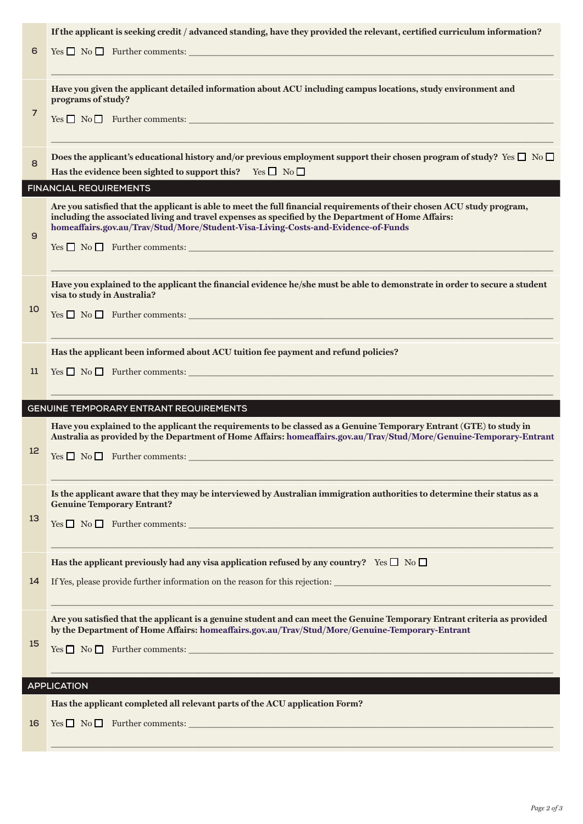|                | If the applicant is seeking credit / advanced standing, have they provided the relevant, certified curriculum information?                                                                                                                                                                                          |
|----------------|---------------------------------------------------------------------------------------------------------------------------------------------------------------------------------------------------------------------------------------------------------------------------------------------------------------------|
| 6              | $Yes \Box No \Box$ Further comments: $\Box$                                                                                                                                                                                                                                                                         |
| $\overline{7}$ | Have you given the applicant detailed information about ACU including campus locations, study environment and<br>programs of study?<br>$Yes \fbox{No} \fbox{No}$ Further comments: $\fbox{No} \fbox{No}$                                                                                                            |
|                |                                                                                                                                                                                                                                                                                                                     |
| 8              | Does the applicant's educational history and/or previous employment support their chosen program of study? Yes $\Box$ No $\Box$<br>Has the evidence been sighted to support this? Yes $\Box$ No $\Box$                                                                                                              |
|                | <b>FINANCIAL REQUIREMENTS</b>                                                                                                                                                                                                                                                                                       |
| $\mathbf{9}$   | Are you satisfied that the applicant is able to meet the full financial requirements of their chosen ACU study program,<br>including the associated living and travel expenses as specified by the Department of Home Affairs:<br>homeaffairs.gov.au/Trav/Stud/More/Student-Visa-Living-Costs-and-Evidence-of-Funds |
|                | $Yes \fbox{D} No \fbox{D}$ Further comments: $\fbox{D} No \fbox{D}$                                                                                                                                                                                                                                                 |
|                | Have you explained to the applicant the financial evidence he/she must be able to demonstrate in order to secure a student                                                                                                                                                                                          |
|                | visa to study in Australia?                                                                                                                                                                                                                                                                                         |
| 10             | $Yes \Box No \Box$ Further comments: $\Box$                                                                                                                                                                                                                                                                         |
|                | Has the applicant been informed about ACU tuition fee payment and refund policies?                                                                                                                                                                                                                                  |
| 11             | $Yes \fbox{D} No \fbox{D}$ Further comments: $\fbox{D} No \fbox{D}$                                                                                                                                                                                                                                                 |
|                | <b>GENUINE TEMPORARY ENTRANT REQUIREMENTS</b>                                                                                                                                                                                                                                                                       |
|                | Have you explained to the applicant the requirements to be classed as a Genuine Temporary Entrant (GTE) to study in<br>Australia as provided by the Department of Home Affairs: homeaffairs.gov.au/Trav/Stud/More/Genuine-Temporary-Entrant                                                                         |
| 12             |                                                                                                                                                                                                                                                                                                                     |
|                |                                                                                                                                                                                                                                                                                                                     |
|                | Is the applicant aware that they may be interviewed by Australian immigration authorities to determine their status as a<br><b>Genuine Temporary Entrant?</b>                                                                                                                                                       |
| 13             | $Yes \fbox{No} \fbox{No} \fbox{The number comments: } \fbox{The number of elements are the same.}$                                                                                                                                                                                                                  |
|                |                                                                                                                                                                                                                                                                                                                     |
|                | Has the applicant previously had any visa application refused by any country? Yes $\square$ No $\square$                                                                                                                                                                                                            |
| 14             | If Yes, please provide further information on the reason for this rejection:                                                                                                                                                                                                                                        |
|                | Are you satisfied that the applicant is a genuine student and can meet the Genuine Temporary Entrant criteria as provided                                                                                                                                                                                           |
| 15             | by the Department of Home Affairs: homeaffairs.gov.au/Trav/Stud/More/Genuine-Temporary-Entrant                                                                                                                                                                                                                      |
|                | $Yes \fbox{No} \fbox{No} \fbox{In}$ Further comments:                                                                                                                                                                                                                                                               |
|                | <b>APPLICATION</b>                                                                                                                                                                                                                                                                                                  |
|                | Has the applicant completed all relevant parts of the ACU application Form?                                                                                                                                                                                                                                         |
| 16             | $Yes \Box No \Box$ Further comments: $\Box$                                                                                                                                                                                                                                                                         |
|                |                                                                                                                                                                                                                                                                                                                     |